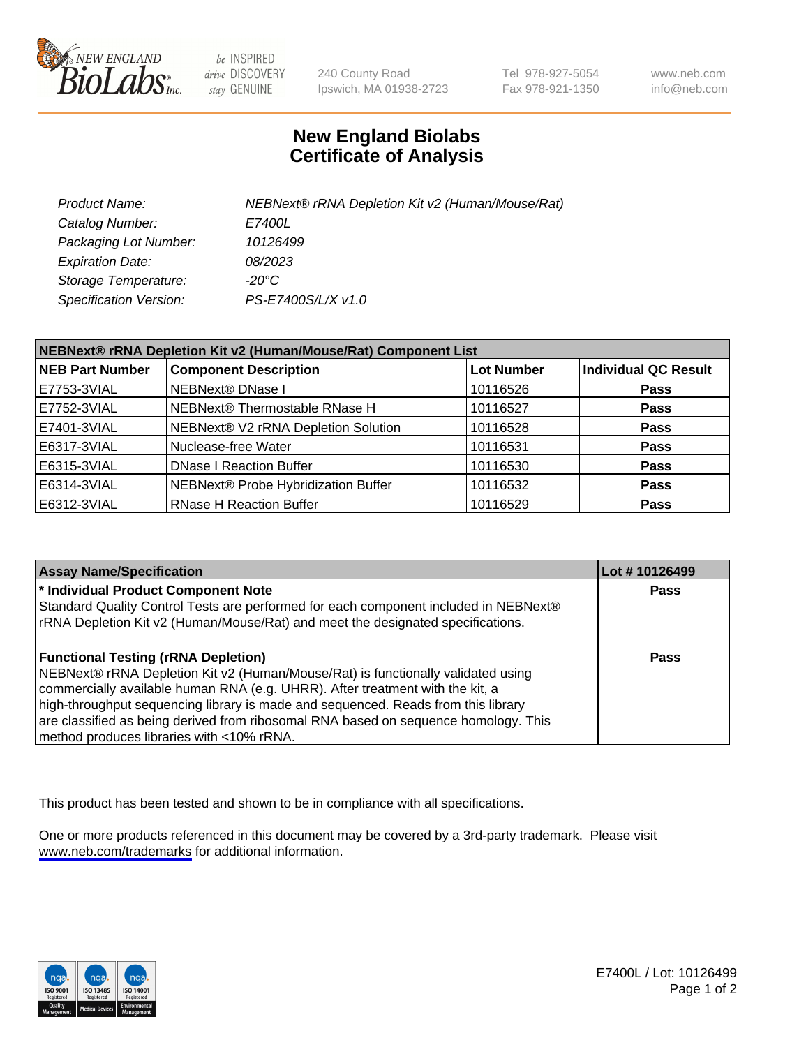

be INSPIRED drive DISCOVERY stay GENUINE

240 County Road Ipswich, MA 01938-2723 Tel 978-927-5054 Fax 978-921-1350

www.neb.com info@neb.com

## **New England Biolabs Certificate of Analysis**

| Product Name:           | NEBNext® rRNA Depletion Kit v2 (Human/Mouse/Rat) |
|-------------------------|--------------------------------------------------|
| Catalog Number:         | <i>E7400L</i>                                    |
| Packaging Lot Number:   | 10126499                                         |
| <b>Expiration Date:</b> | 08/2023                                          |
| Storage Temperature:    | -20°C                                            |
| Specification Version:  | PS-E7400S/L/X v1.0                               |

| NEBNext® rRNA Depletion Kit v2 (Human/Mouse/Rat) Component List |                                     |                   |                             |  |
|-----------------------------------------------------------------|-------------------------------------|-------------------|-----------------------------|--|
| <b>NEB Part Number</b>                                          | <b>Component Description</b>        | <b>Lot Number</b> | <b>Individual QC Result</b> |  |
| E7753-3VIAL                                                     | NEBNext® DNase I                    | 10116526          | <b>Pass</b>                 |  |
| E7752-3VIAL                                                     | NEBNext® Thermostable RNase H       | 10116527          | <b>Pass</b>                 |  |
| E7401-3VIAL                                                     | NEBNext® V2 rRNA Depletion Solution | 10116528          | <b>Pass</b>                 |  |
| E6317-3VIAL                                                     | Nuclease-free Water                 | 10116531          | <b>Pass</b>                 |  |
| E6315-3VIAL                                                     | <b>DNase I Reaction Buffer</b>      | 10116530          | <b>Pass</b>                 |  |
| E6314-3VIAL                                                     | NEBNext® Probe Hybridization Buffer | 10116532          | <b>Pass</b>                 |  |
| E6312-3VIAL                                                     | <b>RNase H Reaction Buffer</b>      | 10116529          | <b>Pass</b>                 |  |

| <b>Assay Name/Specification</b>                                                      | Lot # 10126499 |
|--------------------------------------------------------------------------------------|----------------|
| * Individual Product Component Note                                                  | <b>Pass</b>    |
| Standard Quality Control Tests are performed for each component included in NEBNext® |                |
| rRNA Depletion Kit v2 (Human/Mouse/Rat) and meet the designated specifications.      |                |
| <b>Functional Testing (rRNA Depletion)</b>                                           | Pass           |
| NEBNext® rRNA Depletion Kit v2 (Human/Mouse/Rat) is functionally validated using     |                |
| commercially available human RNA (e.g. UHRR). After treatment with the kit, a        |                |
| high-throughput sequencing library is made and sequenced. Reads from this library    |                |
| are classified as being derived from ribosomal RNA based on sequence homology. This  |                |
| method produces libraries with <10% rRNA.                                            |                |

This product has been tested and shown to be in compliance with all specifications.

One or more products referenced in this document may be covered by a 3rd-party trademark. Please visit <www.neb.com/trademarks>for additional information.